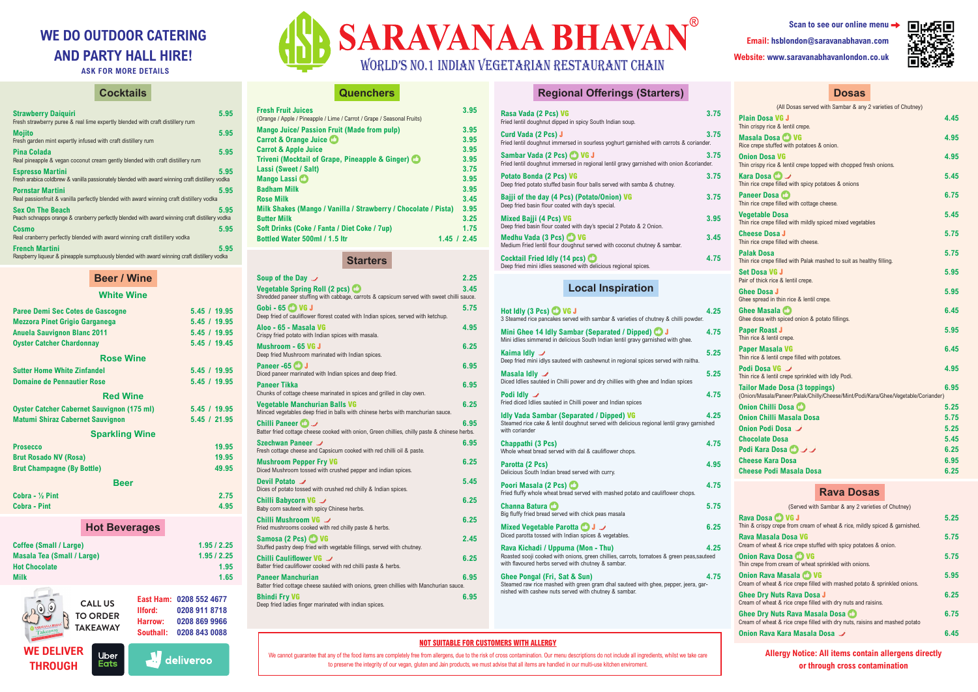#### **NOT SUITABLE FOR CUSTOMERS WITH ALLERGY**

We cannot guarantee that any of the food items are completely free from allergens, due to the risk of cross contamination. Our menu descriptions do not include all ingredients, whilst we take care to preserve the integrity of our vegan, gluten and Jain products, we must advise that all items are handled in our multi-use kitchen enviroment.

**WE DELIVER THROUGH**





**Allergy Notice: All items contain allergens directly or through cross contamination**



| Scan to see our online menu $\rightarrow$ |
|-------------------------------------------|
| Email: hsblondon@saravanabhavan.com       |
| Website: www.saravanabhavanlondon.co.uk   |



# **WE DO OUTDOOR CATERING AND PARTY HALL HIRE!**

**ASK FOR MORE DETAILS**

# **Cocktails**

| <b>Strawberry Daiguiri</b><br>Fresh strawberry puree & real lime expertly blended with craft distillery rum                | 5.95 |
|----------------------------------------------------------------------------------------------------------------------------|------|
| <b>Mojito</b><br>Fresh garden mint expertly infused with craft distillery rum                                              | 5.95 |
| Pina Colada<br>Real pineapple & vegan coconut cream gently blended with craft distillery rum                               | 5.95 |
| <b>Espresso Martini</b><br>Fresh arabica coldbrew & vanilla passionately blended with award winning craft distillery vodka | 5.95 |
| <b>Pornstar Martini</b><br>Real passionfruit & vanilla perfectly blended with award winning craft distillery vodka         | 5.95 |
| <b>Sex On The Beach</b><br>Peach schnapps orange & cranberry perfectly blended with award winning craft distillery vodka   | 5.95 |
| Cosmo<br>Real cranberry perfectly blended with award winning craft distillery vodka                                        | 5.95 |
| <b>French Martini</b><br>Raspberry liqueur & pineapple sumptuously blended with award winning craft distillery vodka       | 5.95 |

| Paree Demi Sec Cotes de Gascogne                  |                    | 5.45 / 19.95            |
|---------------------------------------------------|--------------------|-------------------------|
| <b>Mezzora Pinet Grigio Garganega</b>             |                    | 5.45 / 19.95            |
| <b>Anuela Sauvignon Blanc 2011</b>                |                    | 5.45 / 19.95            |
| <b>Oyster Catcher Chardonnay</b>                  |                    | 5.45 / 19.45            |
| <b>Rose Wine</b>                                  |                    |                         |
| <b>Sutter Home White Zinfandel</b>                |                    | 5.45 / 19.95            |
| <b>Domaine de Pennautier Rose</b>                 |                    | 5.45 / 19.95            |
| <b>Red Wine</b>                                   |                    |                         |
| <b>Oyster Catcher Cabernet Sauvignon (175 ml)</b> |                    | 5.45 / 19.95            |
| <b>Matumi Shiraz Cabernet Sauvignon</b>           |                    | 5.45 / 21.95            |
| <b>Sparkling Wine</b>                             |                    |                         |
| <b>Prosecco</b>                                   |                    | 19.95                   |
| <b>Brut Rosado NV (Rosa)</b>                      |                    | 19.95                   |
| <b>Brut Champagne (By Bottle)</b>                 |                    | 49.95                   |
|                                                   |                    |                         |
| <b>Beer</b>                                       |                    |                         |
| Cobra - $\frac{1}{2}$ Pint                        |                    | 2.75                    |
| <b>Cobra - Pint</b>                               |                    | 4.95                    |
| <b>Hot Beverages</b>                              |                    |                         |
|                                                   |                    |                         |
| <b>Coffee (Small / Large)</b>                     |                    | 1.95/2.25               |
| <b>Masala Tea (Small / Large)</b>                 |                    | 1.95/2.25               |
| <b>Hot Chocolate</b>                              |                    | 1.95                    |
| <b>Milk</b>                                       |                    | 1.65                    |
|                                                   |                    |                         |
| <b>CALL US</b>                                    |                    | East Ham: 0208 552 4677 |
| <b>TO ORDER</b>                                   | Ilford:<br>Harrow: | 0208 911 8718           |
| <b>TAKEAWAY</b><br>Takeaway                       | Southall:          | 0208 869 9966           |
|                                                   |                    | 0208 843 0088           |

#### **Beer / Wine**

#### **White Wine**

### **Quenchers**

| <b>Fresh Fruit Juices</b><br>(Orange / Apple / Pineapple / Lime / Carrot / Grape / Seasonal Fruits) | 3.95        |
|-----------------------------------------------------------------------------------------------------|-------------|
| <b>Mango Juice/ Passion Fruit (Made from pulp)</b>                                                  | 3.95        |
| Carrot & Orange Juice                                                                               | 3.95        |
| <b>Carrot &amp; Apple Juice</b>                                                                     | 3.95        |
| Triveni (Mocktail of Grape, Pineapple & Ginger) <b>CO</b>                                           | 3.95        |
| Lassi (Sweet / Salt)                                                                                | 3.75        |
| Mango Lassi <sup>O</sup>                                                                            | 3.95        |
| <b>Badham Milk</b>                                                                                  | 3.95        |
| <b>Rose Milk</b>                                                                                    | 3.45        |
| Milk Shakes (Mango / Vanilla / Strawberry / Chocolate / Pista)                                      | 3.95        |
| <b>Butter Milk</b>                                                                                  | 3.25        |
| Soft Drinks (Coke / Fanta / Diet Coke / 7up)                                                        | 1.75        |
| <b>Bottled Water 500ml / 1.5 ltr</b>                                                                | 1.45 / 2.45 |

### **Starters**

| Soup of the Day $\rightarrow$                                                                                                     | 2.25 |
|-----------------------------------------------------------------------------------------------------------------------------------|------|
| <b>Vegetable Spring Roll (2 pcs)</b><br>Shredded paneer stuffing with cabbage, carrots & capsicum served with sweet chilli sauce. | 3.45 |
| Gobi - 65 $\bigcirc$ VG J<br>Deep fried of cauliflower florest coated with Indian spices, served with ketchup.                    | 5.75 |
| Aloo - 65 - Masala VG<br>Crispy fried potato with Indian spices with masala.                                                      | 4.95 |
| Mushroom - 65 VG J<br>Deep fried Mushroom marinated with Indian spices.                                                           | 6.25 |
| Paneer -65 $\bigcirc$ J<br>Diced paneer marinated with Indian spices and deep fried.                                              | 6.95 |
| <b>Paneer Tikka</b><br>Chunks of cottage cheese marinated in spices and grilled in clay oven.                                     | 6.95 |
| <b>Vegetable Manchurian Balls VG</b><br>Minced vegetables deep fried in balls with chinese herbs with manchurian sauce.           | 6.25 |
| Chilli Paneer<br>Batter fried cottage cheese cooked with onion, Green chillies, chilly paste & chinese herbs.                     | 6.95 |
| Szechwan Paneer<br>Fresh cottage cheese and Capsicum cooked with red chilli oil & paste.                                          | 6.95 |
| <b>Mushroom Pepper Fry VG</b><br>Diced Mushroom tossed with crushed pepper and indian spices.                                     | 6.25 |
| Devil Potato<br>Dices of potato tossed with crushed red chilly & Indian spices.                                                   | 5.45 |
| Chilli Babycorn VG $\rightarrow$<br>Baby corn sauteed with spicy Chinese herbs.                                                   | 6.25 |
| Chilli Mushroom VG $\rightarrow$<br>Fried mushrooms cooked with red chilly paste & herbs.                                         | 6.25 |
| Samosa (2 Pcs) (2 VG<br>Stuffed pastry deep fried with vegetable fillings, served with chutney.                                   | 2.45 |
| Chilli Cauliflower VG<br>Batter fried cauliflower cooked with red chilli paste & herbs.                                           | 6.25 |
| <b>Paneer Manchurian</b><br>Batter fried cottage cheese sautéed with onions, green chillies with Manchurian sauce.                | 6.95 |
| <b>Bhindi Fry VG</b><br>Deep fried ladies finger marinated with indian spices.                                                    | 6.95 |

# **Regional Offerings (Starters)**

| Rasa Vada (2 Pcs) VG<br>Fried lentil doughnut dipped in spicy South Indian soup.                                        | 3.75 |
|-------------------------------------------------------------------------------------------------------------------------|------|
| Curd Vada (2 Pcs) J<br>Fried lentil doughnut immersed in sourless yoghurt garnished with carrots & coriander.           | 3.75 |
| Sambar Vada (2 Pcs) @ VG J<br>Fried lentil doughnut immersed in regional lentil gravy garnished with onion & coriander. | 3.75 |
| <b>Potato Bonda (2 Pcs) VG</b><br>Deep fried potato stuffed basin flour balls served with samba & chutney.              | 3.75 |
| Bajji of the day (4 Pcs) (Potato/Onion) VG<br>Deep fried basin flour coated with day's special.                         | 3.75 |
| Mixed Bajji (4 Pcs) VG<br>Deep fried basin flour coated with day's special 2 Potato & 2 Onion.                          | 3.95 |
| Medhu Vada (3 Pcs) <sup>1</sup> VG<br>Medium Fried lentil flour doughnut served with coconut chutney & sambar.          | 3.45 |
| Cocktail Fried Idly (14 pcs)<br>Deep fried mini idlies seasoned with delicious regional spices.                         | 4.75 |

# **Local Inspiration**

| Hot Idly (3 Pcs) C VG J<br>3 Steamed rice pancakes served with sambar & varieties of chutney & chilli powder.                                                                        | 4.25 |
|--------------------------------------------------------------------------------------------------------------------------------------------------------------------------------------|------|
| Mini Ghee 14 Idly Sambar (Separated / Dipped) <b>(D</b> J<br>Mini idlies simmered in delicious South Indian lentil gravy garnished with ghee.                                        | 4.75 |
| Kaima Idly $\overline{\mathscr{S}}$<br>Deep fried mini idlys sauteed with cashewnut in regional spices served with raitha.                                                           | 5.25 |
| Masala Idly $\mathcal I$<br>Diced Idlies sautéed in Chilli power and dry chillies with ghee and Indian spices                                                                        | 5.25 |
| Podi Idly $\rightarrow$<br>Fried diced Idlies sautéed in Chilli power and Indian spices                                                                                              | 4.75 |
| <b>Idly Vada Sambar (Separated / Dipped) VG</b><br>Steamed rice cake & lentil doughnut served with delicious regional lentil gravy garnished<br>with coriander                       | 4.25 |
| Chappathi (3 Pcs)<br>Whole wheat bread served with dal & cauliflower chops.                                                                                                          | 4.75 |
| Parotta (2 Pcs)<br>Delicious South Indian bread served with curry.                                                                                                                   | 4.95 |
| Poori Masala (2 Pcs)<br>Fried fluffy whole wheat bread served with mashed potato and cauliflower chops.                                                                              | 4.75 |
| Channa Batura Co<br>Big fluffy fried bread served with chick peas masala                                                                                                             | 5.75 |
| Mixed Vegetable Parotta U J<br>Diced parotta tossed with Indian spices & vegetables.                                                                                                 | 6.25 |
| Rava Kichadi / Uppuma (Mon - Thu)<br>Roasted sooji cooked with onions, green chillies, carrots, tomatoes & green peas, sauteed<br>with flavoured herbs served with chutney & sambar. | 4.25 |
| Ghee Pongal (Fri, Sat & Sun)<br>Steamed raw rice mashed with green gram dhal sauteed with ghee, pepper, jeera, gar-<br>nished with cashew nuts served with chutney & sambar.         | 4.75 |

#### **Dosas**

| (All Dosas served with Sambar & any 2 varieties of Chutney)                                                               |      |
|---------------------------------------------------------------------------------------------------------------------------|------|
| <b>Plain Dosa VG J</b><br>Thin crispy rice & lentil crepe.                                                                | 4.45 |
| Masala Dosa CO VG<br>Rice crepe stuffed with potatoes & onion.                                                            | 4.95 |
| <b>Onion Dosa VG</b><br>Thin crispy rice & lentil crepe topped with chopped fresh onions.                                 | 4.95 |
| Kara Dosa <b>D</b><br>Thin rice crepe filled with spicy potatoes & onions                                                 | 5.45 |
| Paneer Dosa<br>Thin rice crepe filled with cottage cheese.                                                                | 6.75 |
| <b>Vegetable Dosa</b><br>Thin rice crepe filled with mildly spiced mixed vegetables                                       | 5.45 |
| <b>Cheese Dosa J</b><br>Thin rice crepe filled with cheese.                                                               | 5.75 |
| <b>Palak Dosa</b><br>Thin rice crepe filled with Palak mashed to suit as healthy filling.                                 | 5.75 |
| Set Dosa VG J<br>Pair of thick rice & lentil crepe.                                                                       | 5.95 |
| Ghee Dosa J<br>Ghee spread in thin rice & lentil crepe.                                                                   | 5.95 |
| Ghee Masala CO<br>Ghee dosa with spiced onion & potato fillings.                                                          | 6.45 |
| <b>Paper Roast J</b><br>Thin rice & lentil crepe.                                                                         | 5.95 |
| Paper Masala VG<br>Thin rice & lentil crepe filled with potatoes.                                                         | 6.45 |
| <b>Podi Dosa VG</b><br>Thin rice & lentil crepe sprinkled with Idly Podi.                                                 | 4.95 |
| <b>Tailor Made Dosa (3 toppings)</b><br>(Onion/Masala/Paneer/Palak/Chilly/Cheese/Mint/Podi/Kara/Ghee/Vegetable/Coriander) | 6.95 |
| Onion Chilli Dosa                                                                                                         | 5.25 |
| <b>Onion Chilli Masala Dosa</b>                                                                                           | 5.75 |
| Onion Podi Dosa ノ                                                                                                         | 5.25 |
| <b>Chocolate Dosa</b>                                                                                                     | 5.45 |
| <b>Podi Kara Dosa</b> ロノノ                                                                                                 | 6.25 |
| <b>Cheese Kara Dosa</b>                                                                                                   | 6.95 |
| Cheese Podi Masala Dosa                                                                                                   | 6.25 |

#### **Rava Dosas**

| (Served with Sambar & any 2 varieties of Chutney)                                                                |      |
|------------------------------------------------------------------------------------------------------------------|------|
| Rava Dosa CJ VG J<br>Thin & crispy crepe from cream of wheat & rice, mildly spiced & garnished.                  | 5.25 |
| Rava Masala Dosa VG<br>Cream of wheat & rice crepe stuffed with spicy potatoes & onion.                          | 5.75 |
| Onion Rava Dosa CD VG<br>Thin crepe from cream of wheat sprinkled with onions.                                   | 5.75 |
| Onion Rava Masala CO VG<br>Cream of wheat & rice crepe filled with mashed potato & sprinkled onions.             | 5.95 |
| Ghee Dry Nuts Rava Dosa J<br>Cream of wheat & rice crepe filled with dry nuts and raisins.                       | 6.25 |
| Ghee Dry Nuts Rava Masala Dosa CO<br>Cream of wheat & rice crepe filled with dry nuts, raisins and mashed potato | 6.75 |
| Onion Rava Kara Masala Dosa ノ                                                                                    | 6.45 |
|                                                                                                                  |      |